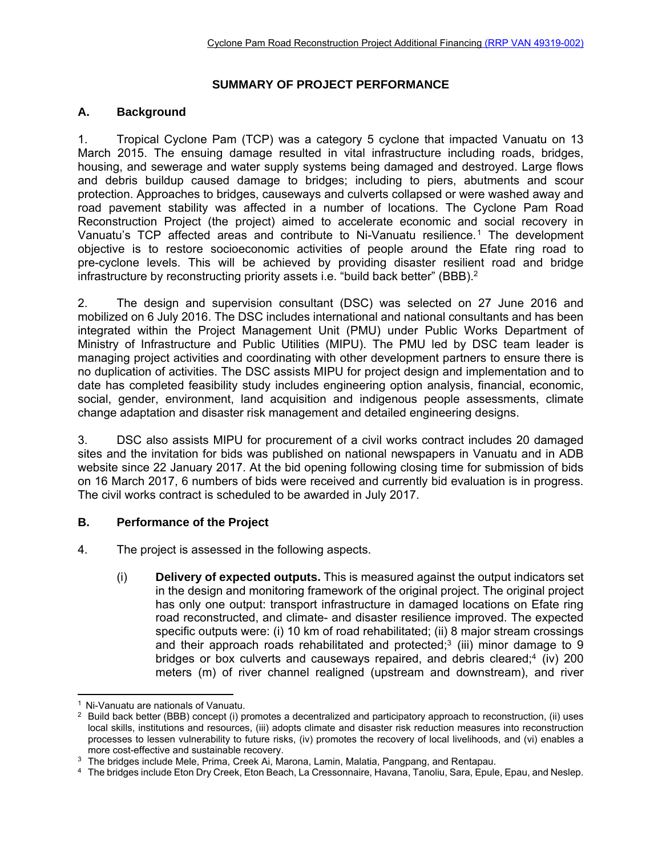### **SUMMARY OF PROJECT PERFORMANCE**

### **A. Background**

1. Tropical Cyclone Pam (TCP) was a category 5 cyclone that impacted Vanuatu on 13 March 2015. The ensuing damage resulted in vital infrastructure including roads, bridges, housing, and sewerage and water supply systems being damaged and destroyed. Large flows and debris buildup caused damage to bridges; including to piers, abutments and scour protection. Approaches to bridges, causeways and culverts collapsed or were washed away and road pavement stability was affected in a number of locations. The Cyclone Pam Road Reconstruction Project (the project) aimed to accelerate economic and social recovery in Vanuatu's TCP affected areas and contribute to Ni-Vanuatu resilience.1 The development objective is to restore socioeconomic activities of people around the Efate ring road to pre-cyclone levels. This will be achieved by providing disaster resilient road and bridge infrastructure by reconstructing priority assets i.e. "build back better" (BBB).<sup>2</sup>

2. The design and supervision consultant (DSC) was selected on 27 June 2016 and mobilized on 6 July 2016. The DSC includes international and national consultants and has been integrated within the Project Management Unit (PMU) under Public Works Department of Ministry of Infrastructure and Public Utilities (MIPU). The PMU led by DSC team leader is managing project activities and coordinating with other development partners to ensure there is no duplication of activities. The DSC assists MIPU for project design and implementation and to date has completed feasibility study includes engineering option analysis, financial, economic, social, gender, environment, land acquisition and indigenous people assessments, climate change adaptation and disaster risk management and detailed engineering designs.

3. DSC also assists MIPU for procurement of a civil works contract includes 20 damaged sites and the invitation for bids was published on national newspapers in Vanuatu and in ADB website since 22 January 2017. At the bid opening following closing time for submission of bids on 16 March 2017, 6 numbers of bids were received and currently bid evaluation is in progress. The civil works contract is scheduled to be awarded in July 2017.

### **B. Performance of the Project**

4. The project is assessed in the following aspects.

(i) **Delivery of expected outputs.** This is measured against the output indicators set in the design and monitoring framework of the original project. The original project has only one output: transport infrastructure in damaged locations on Efate ring road reconstructed, and climate- and disaster resilience improved. The expected specific outputs were: (i) 10 km of road rehabilitated; (ii) 8 major stream crossings and their approach roads rehabilitated and protected; $3$  (iii) minor damage to  $9$ bridges or box culverts and causeways repaired, and debris cleared;<sup>4</sup> (iv) 200 meters (m) of river channel realigned (upstream and downstream), and river

 $\overline{a}$ 

<sup>&</sup>lt;sup>1</sup> Ni-Vanuatu are nationals of Vanuatu.<br><sup>2</sup> Build back better (BBB) concept (i) promotes a decentralized and participatory approach to reconstruction, (ii) uses local skills, institutions and resources, (iii) adopts climate and disaster risk reduction measures into reconstruction processes to lessen vulnerability to future risks, (iv) promotes the recovery of local livelihoods, and (vi) enables a more cost-effective and sustainable recovery.<br><sup>3</sup> The bridges include Mele, Prima, Creek Ai, Marona, Lamin, Malatia, Pangpang, and Rentapau.

<sup>4</sup> The bridges include Eton Dry Creek, Eton Beach, La Cressonnaire, Havana, Tanoliu, Sara, Epule, Epau, and Neslep.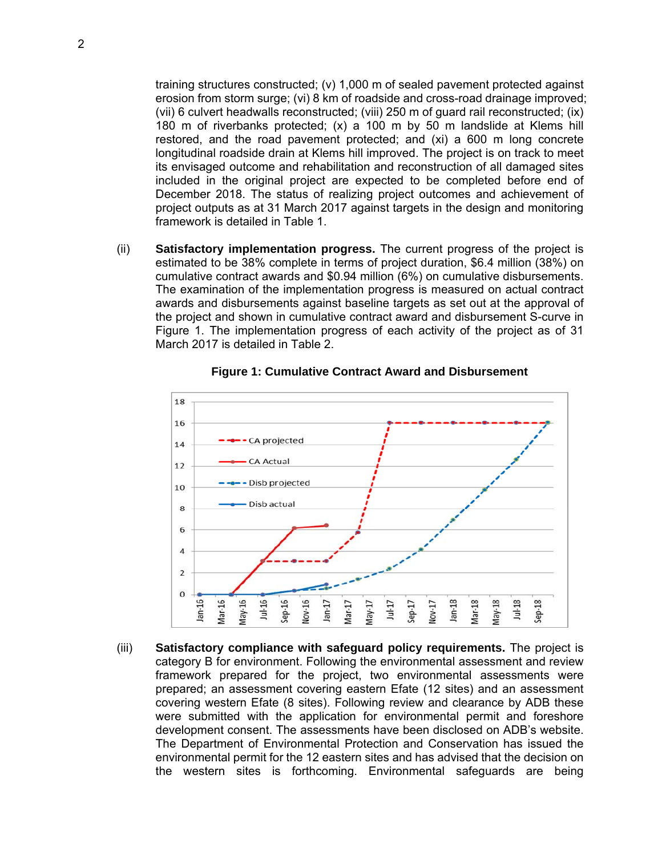training structures constructed; (v) 1,000 m of sealed pavement protected against erosion from storm surge; (vi) 8 km of roadside and cross-road drainage improved; (vii) 6 culvert headwalls reconstructed; (viii) 250 m of guard rail reconstructed; (ix) 180 m of riverbanks protected; (x) a 100 m by 50 m landslide at Klems hill restored, and the road pavement protected; and (xi) a 600 m long concrete longitudinal roadside drain at Klems hill improved. The project is on track to meet its envisaged outcome and rehabilitation and reconstruction of all damaged sites included in the original project are expected to be completed before end of December 2018. The status of realizing project outcomes and achievement of project outputs as at 31 March 2017 against targets in the design and monitoring framework is detailed in Table 1.

(ii) **Satisfactory implementation progress.** The current progress of the project is estimated to be 38% complete in terms of project duration, \$6.4 million (38%) on cumulative contract awards and \$0.94 million (6%) on cumulative disbursements. The examination of the implementation progress is measured on actual contract awards and disbursements against baseline targets as set out at the approval of the project and shown in cumulative contract award and disbursement S-curve in Figure 1. The implementation progress of each activity of the project as of 31 March 2017 is detailed in Table 2.



**Figure 1: Cumulative Contract Award and Disbursement** 

(iii) **Satisfactory compliance with safeguard policy requirements.** The project is category B for environment. Following the environmental assessment and review framework prepared for the project, two environmental assessments were prepared; an assessment covering eastern Efate (12 sites) and an assessment covering western Efate (8 sites). Following review and clearance by ADB these were submitted with the application for environmental permit and foreshore development consent. The assessments have been disclosed on ADB's website. The Department of Environmental Protection and Conservation has issued the environmental permit for the 12 eastern sites and has advised that the decision on the western sites is forthcoming. Environmental safeguards are being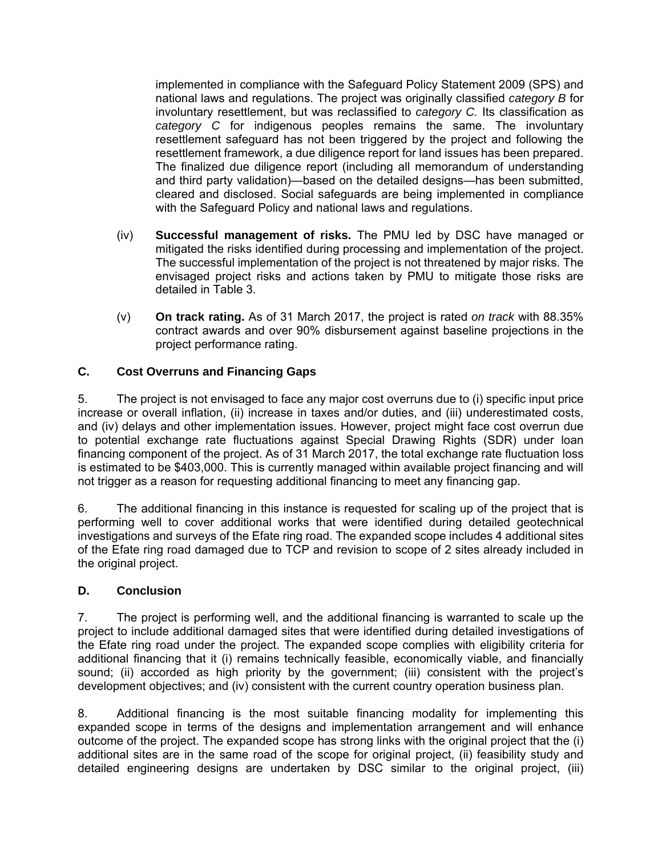implemented in compliance with the Safeguard Policy Statement 2009 (SPS) and national laws and regulations. The project was originally classified *category B* for involuntary resettlement, but was reclassified to *category C.* Its classification as *category C* for indigenous peoples remains the same. The involuntary resettlement safeguard has not been triggered by the project and following the resettlement framework, a due diligence report for land issues has been prepared. The finalized due diligence report (including all memorandum of understanding and third party validation)—based on the detailed designs—has been submitted, cleared and disclosed. Social safeguards are being implemented in compliance with the Safeguard Policy and national laws and regulations.

- (iv) **Successful management of risks.** The PMU led by DSC have managed or mitigated the risks identified during processing and implementation of the project. The successful implementation of the project is not threatened by major risks. The envisaged project risks and actions taken by PMU to mitigate those risks are detailed in Table 3.
- (v) **On track rating.** As of 31 March 2017, the project is rated *on track* with 88.35% contract awards and over 90% disbursement against baseline projections in the project performance rating.

## **C. Cost Overruns and Financing Gaps**

5. The project is not envisaged to face any major cost overruns due to (i) specific input price increase or overall inflation, (ii) increase in taxes and/or duties, and (iii) underestimated costs, and (iv) delays and other implementation issues. However, project might face cost overrun due to potential exchange rate fluctuations against Special Drawing Rights (SDR) under loan financing component of the project. As of 31 March 2017, the total exchange rate fluctuation loss is estimated to be \$403,000. This is currently managed within available project financing and will not trigger as a reason for requesting additional financing to meet any financing gap.

6. The additional financing in this instance is requested for scaling up of the project that is performing well to cover additional works that were identified during detailed geotechnical investigations and surveys of the Efate ring road. The expanded scope includes 4 additional sites of the Efate ring road damaged due to TCP and revision to scope of 2 sites already included in the original project.

## **D. Conclusion**

7. The project is performing well, and the additional financing is warranted to scale up the project to include additional damaged sites that were identified during detailed investigations of the Efate ring road under the project. The expanded scope complies with eligibility criteria for additional financing that it (i) remains technically feasible, economically viable, and financially sound; (ii) accorded as high priority by the government; (iii) consistent with the project's development objectives; and (iv) consistent with the current country operation business plan.

8. Additional financing is the most suitable financing modality for implementing this expanded scope in terms of the designs and implementation arrangement and will enhance outcome of the project. The expanded scope has strong links with the original project that the (i) additional sites are in the same road of the scope for original project, (ii) feasibility study and detailed engineering designs are undertaken by DSC similar to the original project, (iii)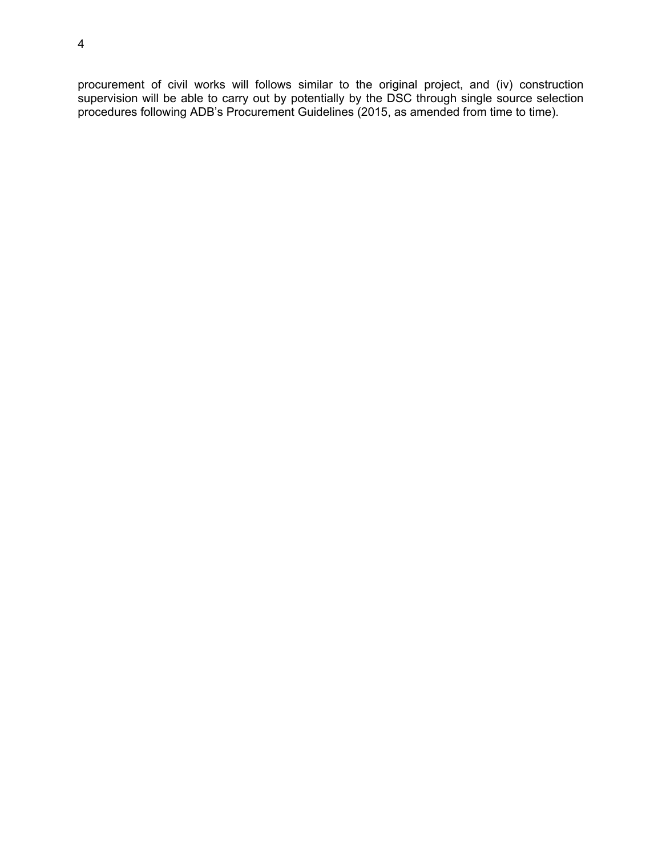procurement of civil works will follows similar to the original project, and (iv) construction supervision will be able to carry out by potentially by the DSC through single source selection procedures following ADB's Procurement Guidelines (2015, as amended from time to time).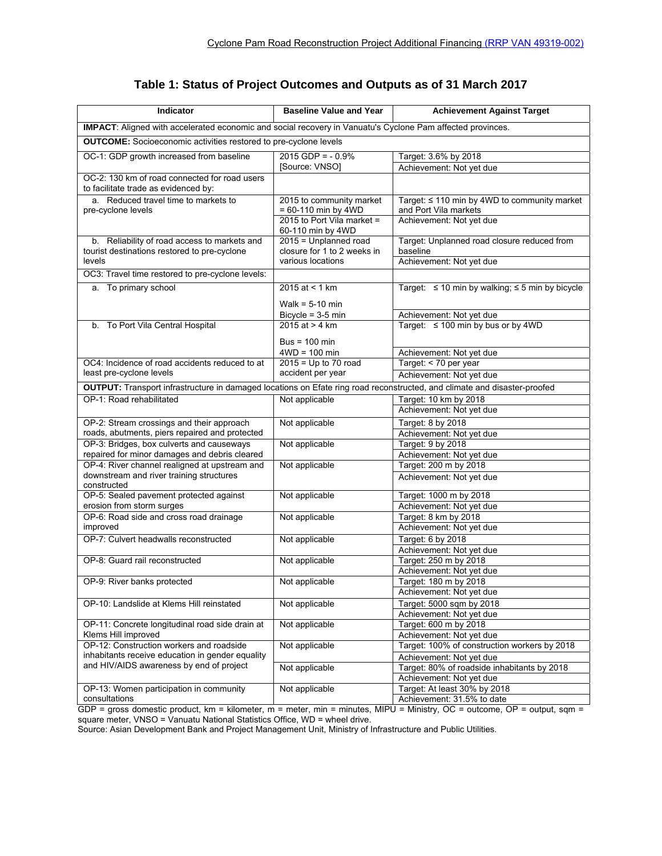| IMPACT: Aligned with accelerated economic and social recovery in Vanuatu's Cyclone Pam affected provinces.<br><b>OUTCOME:</b> Socioeconomic activities restored to pre-cyclone levels<br>OC-1: GDP growth increased from baseline<br>$2015$ GDP = $-0.9%$<br>Target: 3.6% by 2018<br>[Source: VNSO]<br>Achievement: Not yet due<br>OC-2: 130 km of road connected for road users<br>to facilitate trade as evidenced by:<br>a. Reduced travel time to markets to<br>2015 to community market<br>Target: ≤ 110 min by 4WD to community market<br>= 60-110 min by 4WD<br>and Port Vila markets<br>pre-cyclone levels<br>Achievement: Not yet due<br>2015 to Port Vila market =<br>60-110 min by 4WD<br>2015 = Unplanned road<br>b. Reliability of road access to markets and<br>Target: Unplanned road closure reduced from<br>closure for 1 to 2 weeks in<br>tourist destinations restored to pre-cyclone<br>baseline<br>Achievement: Not yet due<br>various locations<br>levels<br>OC3: Travel time restored to pre-cyclone levels:<br>Target: $\leq 10$ min by walking; $\leq 5$ min by bicycle<br>a. To primary school<br>2015 at $<$ 1 km<br>Walk = $5-10$ min<br>Achievement: Not yet due<br>Bicycle = $3-5$ min<br>Target: $\leq 100$ min by bus or by 4WD<br>2015 at $> 4$ km<br>To Port Vila Central Hospital<br>b.<br>$Bus = 100 min$<br>Achievement: Not yet due<br>$4WD = 100$ min<br>$2015 = Up to 70 road$<br>OC4: Incidence of road accidents reduced to at<br>Target: < 70 per year<br>least pre-cyclone levels<br>accident per year<br>Achievement: Not yet due<br>OUTPUT: Transport infrastructure in damaged locations on Efate ring road reconstructed, and climate and disaster-proofed<br>OP-1: Road rehabilitated<br>Not applicable<br>Target: 10 km by 2018<br>Achievement: Not yet due<br>OP-2: Stream crossings and their approach<br>Not applicable<br>Target: 8 by 2018<br>roads, abutments, piers repaired and protected<br>Achievement: Not yet due<br>OP-3: Bridges, box culverts and causeways<br>Target: 9 by 2018<br>Not applicable<br>repaired for minor damages and debris cleared<br>Achievement: Not yet due<br>OP-4: River channel realigned at upstream and<br>Not applicable<br>Target: 200 m by 2018<br>downstream and river training structures<br>Achievement: Not yet due<br>constructed<br>OP-5: Sealed pavement protected against<br>Not applicable<br>Target: 1000 m by 2018<br>erosion from storm surges<br>Achievement: Not yet due<br>OP-6: Road side and cross road drainage<br>Target: 8 km by 2018<br>Not applicable<br>improved<br>Achievement: Not yet due<br>OP-7: Culvert headwalls reconstructed<br>Target: 6 by 2018<br>Not applicable<br>Achievement: Not yet due<br>Target: 250 m by 2018<br>OP-8: Guard rail reconstructed<br>Not applicable<br>Achievement: Not yet due<br>Target: 180 m by 2018<br>OP-9: River banks protected<br>Not applicable<br>Achievement: Not yet due<br>OP-10: Landslide at Klems Hill reinstated<br>Target: 5000 sqm by 2018<br>Not applicable<br>Achievement: Not yet due<br>OP-11: Concrete longitudinal road side drain at<br>Not applicable<br>Target: 600 m by 2018<br>Klems Hill improved<br>Achievement: Not yet due<br>OP-12: Construction workers and roadside<br>Target: 100% of construction workers by 2018<br>Not applicable<br>inhabitants receive education in gender equality<br>Achievement: Not yet due<br>and HIV/AIDS awareness by end of project<br>Not applicable<br>Target: 80% of roadside inhabitants by 2018<br>Achievement: Not yet due<br>OP-13: Women participation in community<br>Not applicable<br>Target: At least 30% by 2018<br>Achievement: 31.5% to date<br>consultations<br>GDP = gross domestic product km = kilometer m = meter min = minutes MIPU = Ministry $OC = 0$ utcome $OP = 0$ utnut sam = | Indicator | <b>Baseline Value and Year</b> | <b>Achievement Against Target</b> |  |  |  |  |  |
|------------------------------------------------------------------------------------------------------------------------------------------------------------------------------------------------------------------------------------------------------------------------------------------------------------------------------------------------------------------------------------------------------------------------------------------------------------------------------------------------------------------------------------------------------------------------------------------------------------------------------------------------------------------------------------------------------------------------------------------------------------------------------------------------------------------------------------------------------------------------------------------------------------------------------------------------------------------------------------------------------------------------------------------------------------------------------------------------------------------------------------------------------------------------------------------------------------------------------------------------------------------------------------------------------------------------------------------------------------------------------------------------------------------------------------------------------------------------------------------------------------------------------------------------------------------------------------------------------------------------------------------------------------------------------------------------------------------------------------------------------------------------------------------------------------------------------------------------------------------------------------------------------------------------------------------------------------------------------------------------------------------------------------------------------------------------------------------------------------------------------------------------------------------------------------------------------------------------------------------------------------------------------------------------------------------------------------------------------------------------------------------------------------------------------------------------------------------------------------------------------------------------------------------------------------------------------------------------------------------------------------------------------------------------------------------------------------------------------------------------------------------------------------------------------------------------------------------------------------------------------------------------------------------------------------------------------------------------------------------------------------------------------------------------------------------------------------------------------------------------------------------------------------------------------------------------------------------------------------------------------------------------------------------------------------------------------------------------------------------------------------------------------------------------------------------------------------------------------------------------------------------------------------------------------------------------------------------------------------------------------------------------------------------------------------------------------------------------------------------------------------------------------------------------------------------------------------|-----------|--------------------------------|-----------------------------------|--|--|--|--|--|
|                                                                                                                                                                                                                                                                                                                                                                                                                                                                                                                                                                                                                                                                                                                                                                                                                                                                                                                                                                                                                                                                                                                                                                                                                                                                                                                                                                                                                                                                                                                                                                                                                                                                                                                                                                                                                                                                                                                                                                                                                                                                                                                                                                                                                                                                                                                                                                                                                                                                                                                                                                                                                                                                                                                                                                                                                                                                                                                                                                                                                                                                                                                                                                                                                                                                                                                                                                                                                                                                                                                                                                                                                                                                                                                                                                                                                                    |           |                                |                                   |  |  |  |  |  |
|                                                                                                                                                                                                                                                                                                                                                                                                                                                                                                                                                                                                                                                                                                                                                                                                                                                                                                                                                                                                                                                                                                                                                                                                                                                                                                                                                                                                                                                                                                                                                                                                                                                                                                                                                                                                                                                                                                                                                                                                                                                                                                                                                                                                                                                                                                                                                                                                                                                                                                                                                                                                                                                                                                                                                                                                                                                                                                                                                                                                                                                                                                                                                                                                                                                                                                                                                                                                                                                                                                                                                                                                                                                                                                                                                                                                                                    |           |                                |                                   |  |  |  |  |  |
|                                                                                                                                                                                                                                                                                                                                                                                                                                                                                                                                                                                                                                                                                                                                                                                                                                                                                                                                                                                                                                                                                                                                                                                                                                                                                                                                                                                                                                                                                                                                                                                                                                                                                                                                                                                                                                                                                                                                                                                                                                                                                                                                                                                                                                                                                                                                                                                                                                                                                                                                                                                                                                                                                                                                                                                                                                                                                                                                                                                                                                                                                                                                                                                                                                                                                                                                                                                                                                                                                                                                                                                                                                                                                                                                                                                                                                    |           |                                |                                   |  |  |  |  |  |
|                                                                                                                                                                                                                                                                                                                                                                                                                                                                                                                                                                                                                                                                                                                                                                                                                                                                                                                                                                                                                                                                                                                                                                                                                                                                                                                                                                                                                                                                                                                                                                                                                                                                                                                                                                                                                                                                                                                                                                                                                                                                                                                                                                                                                                                                                                                                                                                                                                                                                                                                                                                                                                                                                                                                                                                                                                                                                                                                                                                                                                                                                                                                                                                                                                                                                                                                                                                                                                                                                                                                                                                                                                                                                                                                                                                                                                    |           |                                |                                   |  |  |  |  |  |
|                                                                                                                                                                                                                                                                                                                                                                                                                                                                                                                                                                                                                                                                                                                                                                                                                                                                                                                                                                                                                                                                                                                                                                                                                                                                                                                                                                                                                                                                                                                                                                                                                                                                                                                                                                                                                                                                                                                                                                                                                                                                                                                                                                                                                                                                                                                                                                                                                                                                                                                                                                                                                                                                                                                                                                                                                                                                                                                                                                                                                                                                                                                                                                                                                                                                                                                                                                                                                                                                                                                                                                                                                                                                                                                                                                                                                                    |           |                                |                                   |  |  |  |  |  |
|                                                                                                                                                                                                                                                                                                                                                                                                                                                                                                                                                                                                                                                                                                                                                                                                                                                                                                                                                                                                                                                                                                                                                                                                                                                                                                                                                                                                                                                                                                                                                                                                                                                                                                                                                                                                                                                                                                                                                                                                                                                                                                                                                                                                                                                                                                                                                                                                                                                                                                                                                                                                                                                                                                                                                                                                                                                                                                                                                                                                                                                                                                                                                                                                                                                                                                                                                                                                                                                                                                                                                                                                                                                                                                                                                                                                                                    |           |                                |                                   |  |  |  |  |  |
|                                                                                                                                                                                                                                                                                                                                                                                                                                                                                                                                                                                                                                                                                                                                                                                                                                                                                                                                                                                                                                                                                                                                                                                                                                                                                                                                                                                                                                                                                                                                                                                                                                                                                                                                                                                                                                                                                                                                                                                                                                                                                                                                                                                                                                                                                                                                                                                                                                                                                                                                                                                                                                                                                                                                                                                                                                                                                                                                                                                                                                                                                                                                                                                                                                                                                                                                                                                                                                                                                                                                                                                                                                                                                                                                                                                                                                    |           |                                |                                   |  |  |  |  |  |
|                                                                                                                                                                                                                                                                                                                                                                                                                                                                                                                                                                                                                                                                                                                                                                                                                                                                                                                                                                                                                                                                                                                                                                                                                                                                                                                                                                                                                                                                                                                                                                                                                                                                                                                                                                                                                                                                                                                                                                                                                                                                                                                                                                                                                                                                                                                                                                                                                                                                                                                                                                                                                                                                                                                                                                                                                                                                                                                                                                                                                                                                                                                                                                                                                                                                                                                                                                                                                                                                                                                                                                                                                                                                                                                                                                                                                                    |           |                                |                                   |  |  |  |  |  |
|                                                                                                                                                                                                                                                                                                                                                                                                                                                                                                                                                                                                                                                                                                                                                                                                                                                                                                                                                                                                                                                                                                                                                                                                                                                                                                                                                                                                                                                                                                                                                                                                                                                                                                                                                                                                                                                                                                                                                                                                                                                                                                                                                                                                                                                                                                                                                                                                                                                                                                                                                                                                                                                                                                                                                                                                                                                                                                                                                                                                                                                                                                                                                                                                                                                                                                                                                                                                                                                                                                                                                                                                                                                                                                                                                                                                                                    |           |                                |                                   |  |  |  |  |  |
|                                                                                                                                                                                                                                                                                                                                                                                                                                                                                                                                                                                                                                                                                                                                                                                                                                                                                                                                                                                                                                                                                                                                                                                                                                                                                                                                                                                                                                                                                                                                                                                                                                                                                                                                                                                                                                                                                                                                                                                                                                                                                                                                                                                                                                                                                                                                                                                                                                                                                                                                                                                                                                                                                                                                                                                                                                                                                                                                                                                                                                                                                                                                                                                                                                                                                                                                                                                                                                                                                                                                                                                                                                                                                                                                                                                                                                    |           |                                |                                   |  |  |  |  |  |
|                                                                                                                                                                                                                                                                                                                                                                                                                                                                                                                                                                                                                                                                                                                                                                                                                                                                                                                                                                                                                                                                                                                                                                                                                                                                                                                                                                                                                                                                                                                                                                                                                                                                                                                                                                                                                                                                                                                                                                                                                                                                                                                                                                                                                                                                                                                                                                                                                                                                                                                                                                                                                                                                                                                                                                                                                                                                                                                                                                                                                                                                                                                                                                                                                                                                                                                                                                                                                                                                                                                                                                                                                                                                                                                                                                                                                                    |           |                                |                                   |  |  |  |  |  |
|                                                                                                                                                                                                                                                                                                                                                                                                                                                                                                                                                                                                                                                                                                                                                                                                                                                                                                                                                                                                                                                                                                                                                                                                                                                                                                                                                                                                                                                                                                                                                                                                                                                                                                                                                                                                                                                                                                                                                                                                                                                                                                                                                                                                                                                                                                                                                                                                                                                                                                                                                                                                                                                                                                                                                                                                                                                                                                                                                                                                                                                                                                                                                                                                                                                                                                                                                                                                                                                                                                                                                                                                                                                                                                                                                                                                                                    |           |                                |                                   |  |  |  |  |  |
|                                                                                                                                                                                                                                                                                                                                                                                                                                                                                                                                                                                                                                                                                                                                                                                                                                                                                                                                                                                                                                                                                                                                                                                                                                                                                                                                                                                                                                                                                                                                                                                                                                                                                                                                                                                                                                                                                                                                                                                                                                                                                                                                                                                                                                                                                                                                                                                                                                                                                                                                                                                                                                                                                                                                                                                                                                                                                                                                                                                                                                                                                                                                                                                                                                                                                                                                                                                                                                                                                                                                                                                                                                                                                                                                                                                                                                    |           |                                |                                   |  |  |  |  |  |
|                                                                                                                                                                                                                                                                                                                                                                                                                                                                                                                                                                                                                                                                                                                                                                                                                                                                                                                                                                                                                                                                                                                                                                                                                                                                                                                                                                                                                                                                                                                                                                                                                                                                                                                                                                                                                                                                                                                                                                                                                                                                                                                                                                                                                                                                                                                                                                                                                                                                                                                                                                                                                                                                                                                                                                                                                                                                                                                                                                                                                                                                                                                                                                                                                                                                                                                                                                                                                                                                                                                                                                                                                                                                                                                                                                                                                                    |           |                                |                                   |  |  |  |  |  |
|                                                                                                                                                                                                                                                                                                                                                                                                                                                                                                                                                                                                                                                                                                                                                                                                                                                                                                                                                                                                                                                                                                                                                                                                                                                                                                                                                                                                                                                                                                                                                                                                                                                                                                                                                                                                                                                                                                                                                                                                                                                                                                                                                                                                                                                                                                                                                                                                                                                                                                                                                                                                                                                                                                                                                                                                                                                                                                                                                                                                                                                                                                                                                                                                                                                                                                                                                                                                                                                                                                                                                                                                                                                                                                                                                                                                                                    |           |                                |                                   |  |  |  |  |  |
|                                                                                                                                                                                                                                                                                                                                                                                                                                                                                                                                                                                                                                                                                                                                                                                                                                                                                                                                                                                                                                                                                                                                                                                                                                                                                                                                                                                                                                                                                                                                                                                                                                                                                                                                                                                                                                                                                                                                                                                                                                                                                                                                                                                                                                                                                                                                                                                                                                                                                                                                                                                                                                                                                                                                                                                                                                                                                                                                                                                                                                                                                                                                                                                                                                                                                                                                                                                                                                                                                                                                                                                                                                                                                                                                                                                                                                    |           |                                |                                   |  |  |  |  |  |
|                                                                                                                                                                                                                                                                                                                                                                                                                                                                                                                                                                                                                                                                                                                                                                                                                                                                                                                                                                                                                                                                                                                                                                                                                                                                                                                                                                                                                                                                                                                                                                                                                                                                                                                                                                                                                                                                                                                                                                                                                                                                                                                                                                                                                                                                                                                                                                                                                                                                                                                                                                                                                                                                                                                                                                                                                                                                                                                                                                                                                                                                                                                                                                                                                                                                                                                                                                                                                                                                                                                                                                                                                                                                                                                                                                                                                                    |           |                                |                                   |  |  |  |  |  |
|                                                                                                                                                                                                                                                                                                                                                                                                                                                                                                                                                                                                                                                                                                                                                                                                                                                                                                                                                                                                                                                                                                                                                                                                                                                                                                                                                                                                                                                                                                                                                                                                                                                                                                                                                                                                                                                                                                                                                                                                                                                                                                                                                                                                                                                                                                                                                                                                                                                                                                                                                                                                                                                                                                                                                                                                                                                                                                                                                                                                                                                                                                                                                                                                                                                                                                                                                                                                                                                                                                                                                                                                                                                                                                                                                                                                                                    |           |                                |                                   |  |  |  |  |  |
|                                                                                                                                                                                                                                                                                                                                                                                                                                                                                                                                                                                                                                                                                                                                                                                                                                                                                                                                                                                                                                                                                                                                                                                                                                                                                                                                                                                                                                                                                                                                                                                                                                                                                                                                                                                                                                                                                                                                                                                                                                                                                                                                                                                                                                                                                                                                                                                                                                                                                                                                                                                                                                                                                                                                                                                                                                                                                                                                                                                                                                                                                                                                                                                                                                                                                                                                                                                                                                                                                                                                                                                                                                                                                                                                                                                                                                    |           |                                |                                   |  |  |  |  |  |
|                                                                                                                                                                                                                                                                                                                                                                                                                                                                                                                                                                                                                                                                                                                                                                                                                                                                                                                                                                                                                                                                                                                                                                                                                                                                                                                                                                                                                                                                                                                                                                                                                                                                                                                                                                                                                                                                                                                                                                                                                                                                                                                                                                                                                                                                                                                                                                                                                                                                                                                                                                                                                                                                                                                                                                                                                                                                                                                                                                                                                                                                                                                                                                                                                                                                                                                                                                                                                                                                                                                                                                                                                                                                                                                                                                                                                                    |           |                                |                                   |  |  |  |  |  |
|                                                                                                                                                                                                                                                                                                                                                                                                                                                                                                                                                                                                                                                                                                                                                                                                                                                                                                                                                                                                                                                                                                                                                                                                                                                                                                                                                                                                                                                                                                                                                                                                                                                                                                                                                                                                                                                                                                                                                                                                                                                                                                                                                                                                                                                                                                                                                                                                                                                                                                                                                                                                                                                                                                                                                                                                                                                                                                                                                                                                                                                                                                                                                                                                                                                                                                                                                                                                                                                                                                                                                                                                                                                                                                                                                                                                                                    |           |                                |                                   |  |  |  |  |  |
|                                                                                                                                                                                                                                                                                                                                                                                                                                                                                                                                                                                                                                                                                                                                                                                                                                                                                                                                                                                                                                                                                                                                                                                                                                                                                                                                                                                                                                                                                                                                                                                                                                                                                                                                                                                                                                                                                                                                                                                                                                                                                                                                                                                                                                                                                                                                                                                                                                                                                                                                                                                                                                                                                                                                                                                                                                                                                                                                                                                                                                                                                                                                                                                                                                                                                                                                                                                                                                                                                                                                                                                                                                                                                                                                                                                                                                    |           |                                |                                   |  |  |  |  |  |
|                                                                                                                                                                                                                                                                                                                                                                                                                                                                                                                                                                                                                                                                                                                                                                                                                                                                                                                                                                                                                                                                                                                                                                                                                                                                                                                                                                                                                                                                                                                                                                                                                                                                                                                                                                                                                                                                                                                                                                                                                                                                                                                                                                                                                                                                                                                                                                                                                                                                                                                                                                                                                                                                                                                                                                                                                                                                                                                                                                                                                                                                                                                                                                                                                                                                                                                                                                                                                                                                                                                                                                                                                                                                                                                                                                                                                                    |           |                                |                                   |  |  |  |  |  |
|                                                                                                                                                                                                                                                                                                                                                                                                                                                                                                                                                                                                                                                                                                                                                                                                                                                                                                                                                                                                                                                                                                                                                                                                                                                                                                                                                                                                                                                                                                                                                                                                                                                                                                                                                                                                                                                                                                                                                                                                                                                                                                                                                                                                                                                                                                                                                                                                                                                                                                                                                                                                                                                                                                                                                                                                                                                                                                                                                                                                                                                                                                                                                                                                                                                                                                                                                                                                                                                                                                                                                                                                                                                                                                                                                                                                                                    |           |                                |                                   |  |  |  |  |  |
|                                                                                                                                                                                                                                                                                                                                                                                                                                                                                                                                                                                                                                                                                                                                                                                                                                                                                                                                                                                                                                                                                                                                                                                                                                                                                                                                                                                                                                                                                                                                                                                                                                                                                                                                                                                                                                                                                                                                                                                                                                                                                                                                                                                                                                                                                                                                                                                                                                                                                                                                                                                                                                                                                                                                                                                                                                                                                                                                                                                                                                                                                                                                                                                                                                                                                                                                                                                                                                                                                                                                                                                                                                                                                                                                                                                                                                    |           |                                |                                   |  |  |  |  |  |
|                                                                                                                                                                                                                                                                                                                                                                                                                                                                                                                                                                                                                                                                                                                                                                                                                                                                                                                                                                                                                                                                                                                                                                                                                                                                                                                                                                                                                                                                                                                                                                                                                                                                                                                                                                                                                                                                                                                                                                                                                                                                                                                                                                                                                                                                                                                                                                                                                                                                                                                                                                                                                                                                                                                                                                                                                                                                                                                                                                                                                                                                                                                                                                                                                                                                                                                                                                                                                                                                                                                                                                                                                                                                                                                                                                                                                                    |           |                                |                                   |  |  |  |  |  |
|                                                                                                                                                                                                                                                                                                                                                                                                                                                                                                                                                                                                                                                                                                                                                                                                                                                                                                                                                                                                                                                                                                                                                                                                                                                                                                                                                                                                                                                                                                                                                                                                                                                                                                                                                                                                                                                                                                                                                                                                                                                                                                                                                                                                                                                                                                                                                                                                                                                                                                                                                                                                                                                                                                                                                                                                                                                                                                                                                                                                                                                                                                                                                                                                                                                                                                                                                                                                                                                                                                                                                                                                                                                                                                                                                                                                                                    |           |                                |                                   |  |  |  |  |  |
|                                                                                                                                                                                                                                                                                                                                                                                                                                                                                                                                                                                                                                                                                                                                                                                                                                                                                                                                                                                                                                                                                                                                                                                                                                                                                                                                                                                                                                                                                                                                                                                                                                                                                                                                                                                                                                                                                                                                                                                                                                                                                                                                                                                                                                                                                                                                                                                                                                                                                                                                                                                                                                                                                                                                                                                                                                                                                                                                                                                                                                                                                                                                                                                                                                                                                                                                                                                                                                                                                                                                                                                                                                                                                                                                                                                                                                    |           |                                |                                   |  |  |  |  |  |
|                                                                                                                                                                                                                                                                                                                                                                                                                                                                                                                                                                                                                                                                                                                                                                                                                                                                                                                                                                                                                                                                                                                                                                                                                                                                                                                                                                                                                                                                                                                                                                                                                                                                                                                                                                                                                                                                                                                                                                                                                                                                                                                                                                                                                                                                                                                                                                                                                                                                                                                                                                                                                                                                                                                                                                                                                                                                                                                                                                                                                                                                                                                                                                                                                                                                                                                                                                                                                                                                                                                                                                                                                                                                                                                                                                                                                                    |           |                                |                                   |  |  |  |  |  |
|                                                                                                                                                                                                                                                                                                                                                                                                                                                                                                                                                                                                                                                                                                                                                                                                                                                                                                                                                                                                                                                                                                                                                                                                                                                                                                                                                                                                                                                                                                                                                                                                                                                                                                                                                                                                                                                                                                                                                                                                                                                                                                                                                                                                                                                                                                                                                                                                                                                                                                                                                                                                                                                                                                                                                                                                                                                                                                                                                                                                                                                                                                                                                                                                                                                                                                                                                                                                                                                                                                                                                                                                                                                                                                                                                                                                                                    |           |                                |                                   |  |  |  |  |  |
|                                                                                                                                                                                                                                                                                                                                                                                                                                                                                                                                                                                                                                                                                                                                                                                                                                                                                                                                                                                                                                                                                                                                                                                                                                                                                                                                                                                                                                                                                                                                                                                                                                                                                                                                                                                                                                                                                                                                                                                                                                                                                                                                                                                                                                                                                                                                                                                                                                                                                                                                                                                                                                                                                                                                                                                                                                                                                                                                                                                                                                                                                                                                                                                                                                                                                                                                                                                                                                                                                                                                                                                                                                                                                                                                                                                                                                    |           |                                |                                   |  |  |  |  |  |
|                                                                                                                                                                                                                                                                                                                                                                                                                                                                                                                                                                                                                                                                                                                                                                                                                                                                                                                                                                                                                                                                                                                                                                                                                                                                                                                                                                                                                                                                                                                                                                                                                                                                                                                                                                                                                                                                                                                                                                                                                                                                                                                                                                                                                                                                                                                                                                                                                                                                                                                                                                                                                                                                                                                                                                                                                                                                                                                                                                                                                                                                                                                                                                                                                                                                                                                                                                                                                                                                                                                                                                                                                                                                                                                                                                                                                                    |           |                                |                                   |  |  |  |  |  |
|                                                                                                                                                                                                                                                                                                                                                                                                                                                                                                                                                                                                                                                                                                                                                                                                                                                                                                                                                                                                                                                                                                                                                                                                                                                                                                                                                                                                                                                                                                                                                                                                                                                                                                                                                                                                                                                                                                                                                                                                                                                                                                                                                                                                                                                                                                                                                                                                                                                                                                                                                                                                                                                                                                                                                                                                                                                                                                                                                                                                                                                                                                                                                                                                                                                                                                                                                                                                                                                                                                                                                                                                                                                                                                                                                                                                                                    |           |                                |                                   |  |  |  |  |  |
|                                                                                                                                                                                                                                                                                                                                                                                                                                                                                                                                                                                                                                                                                                                                                                                                                                                                                                                                                                                                                                                                                                                                                                                                                                                                                                                                                                                                                                                                                                                                                                                                                                                                                                                                                                                                                                                                                                                                                                                                                                                                                                                                                                                                                                                                                                                                                                                                                                                                                                                                                                                                                                                                                                                                                                                                                                                                                                                                                                                                                                                                                                                                                                                                                                                                                                                                                                                                                                                                                                                                                                                                                                                                                                                                                                                                                                    |           |                                |                                   |  |  |  |  |  |
|                                                                                                                                                                                                                                                                                                                                                                                                                                                                                                                                                                                                                                                                                                                                                                                                                                                                                                                                                                                                                                                                                                                                                                                                                                                                                                                                                                                                                                                                                                                                                                                                                                                                                                                                                                                                                                                                                                                                                                                                                                                                                                                                                                                                                                                                                                                                                                                                                                                                                                                                                                                                                                                                                                                                                                                                                                                                                                                                                                                                                                                                                                                                                                                                                                                                                                                                                                                                                                                                                                                                                                                                                                                                                                                                                                                                                                    |           |                                |                                   |  |  |  |  |  |
|                                                                                                                                                                                                                                                                                                                                                                                                                                                                                                                                                                                                                                                                                                                                                                                                                                                                                                                                                                                                                                                                                                                                                                                                                                                                                                                                                                                                                                                                                                                                                                                                                                                                                                                                                                                                                                                                                                                                                                                                                                                                                                                                                                                                                                                                                                                                                                                                                                                                                                                                                                                                                                                                                                                                                                                                                                                                                                                                                                                                                                                                                                                                                                                                                                                                                                                                                                                                                                                                                                                                                                                                                                                                                                                                                                                                                                    |           |                                |                                   |  |  |  |  |  |
|                                                                                                                                                                                                                                                                                                                                                                                                                                                                                                                                                                                                                                                                                                                                                                                                                                                                                                                                                                                                                                                                                                                                                                                                                                                                                                                                                                                                                                                                                                                                                                                                                                                                                                                                                                                                                                                                                                                                                                                                                                                                                                                                                                                                                                                                                                                                                                                                                                                                                                                                                                                                                                                                                                                                                                                                                                                                                                                                                                                                                                                                                                                                                                                                                                                                                                                                                                                                                                                                                                                                                                                                                                                                                                                                                                                                                                    |           |                                |                                   |  |  |  |  |  |
|                                                                                                                                                                                                                                                                                                                                                                                                                                                                                                                                                                                                                                                                                                                                                                                                                                                                                                                                                                                                                                                                                                                                                                                                                                                                                                                                                                                                                                                                                                                                                                                                                                                                                                                                                                                                                                                                                                                                                                                                                                                                                                                                                                                                                                                                                                                                                                                                                                                                                                                                                                                                                                                                                                                                                                                                                                                                                                                                                                                                                                                                                                                                                                                                                                                                                                                                                                                                                                                                                                                                                                                                                                                                                                                                                                                                                                    |           |                                |                                   |  |  |  |  |  |
|                                                                                                                                                                                                                                                                                                                                                                                                                                                                                                                                                                                                                                                                                                                                                                                                                                                                                                                                                                                                                                                                                                                                                                                                                                                                                                                                                                                                                                                                                                                                                                                                                                                                                                                                                                                                                                                                                                                                                                                                                                                                                                                                                                                                                                                                                                                                                                                                                                                                                                                                                                                                                                                                                                                                                                                                                                                                                                                                                                                                                                                                                                                                                                                                                                                                                                                                                                                                                                                                                                                                                                                                                                                                                                                                                                                                                                    |           |                                |                                   |  |  |  |  |  |
|                                                                                                                                                                                                                                                                                                                                                                                                                                                                                                                                                                                                                                                                                                                                                                                                                                                                                                                                                                                                                                                                                                                                                                                                                                                                                                                                                                                                                                                                                                                                                                                                                                                                                                                                                                                                                                                                                                                                                                                                                                                                                                                                                                                                                                                                                                                                                                                                                                                                                                                                                                                                                                                                                                                                                                                                                                                                                                                                                                                                                                                                                                                                                                                                                                                                                                                                                                                                                                                                                                                                                                                                                                                                                                                                                                                                                                    |           |                                |                                   |  |  |  |  |  |
|                                                                                                                                                                                                                                                                                                                                                                                                                                                                                                                                                                                                                                                                                                                                                                                                                                                                                                                                                                                                                                                                                                                                                                                                                                                                                                                                                                                                                                                                                                                                                                                                                                                                                                                                                                                                                                                                                                                                                                                                                                                                                                                                                                                                                                                                                                                                                                                                                                                                                                                                                                                                                                                                                                                                                                                                                                                                                                                                                                                                                                                                                                                                                                                                                                                                                                                                                                                                                                                                                                                                                                                                                                                                                                                                                                                                                                    |           |                                |                                   |  |  |  |  |  |
|                                                                                                                                                                                                                                                                                                                                                                                                                                                                                                                                                                                                                                                                                                                                                                                                                                                                                                                                                                                                                                                                                                                                                                                                                                                                                                                                                                                                                                                                                                                                                                                                                                                                                                                                                                                                                                                                                                                                                                                                                                                                                                                                                                                                                                                                                                                                                                                                                                                                                                                                                                                                                                                                                                                                                                                                                                                                                                                                                                                                                                                                                                                                                                                                                                                                                                                                                                                                                                                                                                                                                                                                                                                                                                                                                                                                                                    |           |                                |                                   |  |  |  |  |  |
|                                                                                                                                                                                                                                                                                                                                                                                                                                                                                                                                                                                                                                                                                                                                                                                                                                                                                                                                                                                                                                                                                                                                                                                                                                                                                                                                                                                                                                                                                                                                                                                                                                                                                                                                                                                                                                                                                                                                                                                                                                                                                                                                                                                                                                                                                                                                                                                                                                                                                                                                                                                                                                                                                                                                                                                                                                                                                                                                                                                                                                                                                                                                                                                                                                                                                                                                                                                                                                                                                                                                                                                                                                                                                                                                                                                                                                    |           |                                |                                   |  |  |  |  |  |
|                                                                                                                                                                                                                                                                                                                                                                                                                                                                                                                                                                                                                                                                                                                                                                                                                                                                                                                                                                                                                                                                                                                                                                                                                                                                                                                                                                                                                                                                                                                                                                                                                                                                                                                                                                                                                                                                                                                                                                                                                                                                                                                                                                                                                                                                                                                                                                                                                                                                                                                                                                                                                                                                                                                                                                                                                                                                                                                                                                                                                                                                                                                                                                                                                                                                                                                                                                                                                                                                                                                                                                                                                                                                                                                                                                                                                                    |           |                                |                                   |  |  |  |  |  |
|                                                                                                                                                                                                                                                                                                                                                                                                                                                                                                                                                                                                                                                                                                                                                                                                                                                                                                                                                                                                                                                                                                                                                                                                                                                                                                                                                                                                                                                                                                                                                                                                                                                                                                                                                                                                                                                                                                                                                                                                                                                                                                                                                                                                                                                                                                                                                                                                                                                                                                                                                                                                                                                                                                                                                                                                                                                                                                                                                                                                                                                                                                                                                                                                                                                                                                                                                                                                                                                                                                                                                                                                                                                                                                                                                                                                                                    |           |                                |                                   |  |  |  |  |  |
|                                                                                                                                                                                                                                                                                                                                                                                                                                                                                                                                                                                                                                                                                                                                                                                                                                                                                                                                                                                                                                                                                                                                                                                                                                                                                                                                                                                                                                                                                                                                                                                                                                                                                                                                                                                                                                                                                                                                                                                                                                                                                                                                                                                                                                                                                                                                                                                                                                                                                                                                                                                                                                                                                                                                                                                                                                                                                                                                                                                                                                                                                                                                                                                                                                                                                                                                                                                                                                                                                                                                                                                                                                                                                                                                                                                                                                    |           |                                |                                   |  |  |  |  |  |

## **Table 1: Status of Project Outcomes and Outputs as of 31 March 2017**

meter, min = minutes, MIPU = Ministry, OC = outcome,  $\overline{OP}$  = output, sqm square meter, VNSO = Vanuatu National Statistics Office, WD = wheel drive.

Source: Asian Development Bank and Project Management Unit, Ministry of Infrastructure and Public Utilities.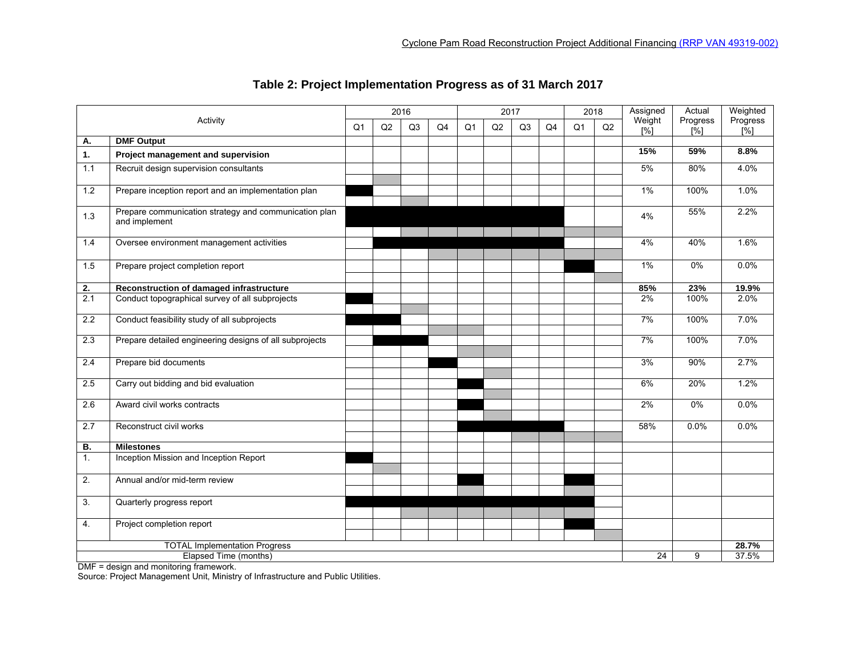| Activity         |                                                                        | 2016           |    |    | 2017           |                |    |                | 2018 |                | Assigned | Actual                      | Weighted                |                 |
|------------------|------------------------------------------------------------------------|----------------|----|----|----------------|----------------|----|----------------|------|----------------|----------|-----------------------------|-------------------------|-----------------|
|                  |                                                                        | Q <sub>1</sub> | Q2 | Q3 | Q <sub>4</sub> | Q <sub>1</sub> | Q2 | Q <sub>3</sub> | Q4   | Q <sub>1</sub> | Q2       | Weight<br>$\overline{1\%1}$ | Progress<br>$N^{\circ}$ | Progress<br>[%] |
| Α.               | <b>DMF Output</b>                                                      |                |    |    |                |                |    |                |      |                |          |                             |                         |                 |
| 1.               | Project management and supervision                                     |                |    |    |                |                |    |                |      |                |          | 15%                         | 59%                     | 8.8%            |
| 1.1              | Recruit design supervision consultants                                 |                |    |    |                |                |    |                |      |                |          | 5%                          | 80%                     | 4.0%            |
| 1.2              | Prepare inception report and an implementation plan                    |                |    |    |                |                |    |                |      |                |          | $1\%$                       | 100%                    | 1.0%            |
| 1.3              | Prepare communication strategy and communication plan<br>and implement |                |    |    |                |                |    |                |      |                |          | 4%                          | 55%                     | 2.2%            |
| 1.4              | Oversee environment management activities                              |                |    |    |                |                |    |                |      |                |          | 4%                          | 40%                     | 1.6%            |
| 1.5              | Prepare project completion report                                      |                |    |    |                |                |    |                |      |                |          | $1\%$                       | $0\%$                   | $0.0\%$         |
| 2.               | Reconstruction of damaged infrastructure                               |                |    |    |                |                |    |                |      |                |          | 85%                         | 23%                     | 19.9%           |
| $\overline{2.1}$ | Conduct topographical survey of all subprojects                        |                |    |    |                |                |    |                |      |                |          | 2%                          | 100%                    | 2.0%            |
| 2.2              | Conduct feasibility study of all subprojects                           |                |    |    |                |                |    |                |      |                |          | 7%                          | 100%                    | 7.0%            |
| 2.3              | Prepare detailed engineering designs of all subprojects                |                |    |    |                |                |    |                |      |                |          | 7%                          | 100%                    | 7.0%            |
| 2.4              | Prepare bid documents                                                  |                |    |    |                |                |    |                |      |                |          | 3%                          | 90%                     | 2.7%            |
| 2.5              | Carry out bidding and bid evaluation                                   |                |    |    |                |                |    |                |      |                |          | 6%                          | 20%                     | 1.2%            |
| 2.6              | Award civil works contracts                                            |                |    |    |                |                |    |                |      |                |          | 2%                          | $0\%$                   | $0.0\%$         |
| 2.7              | Reconstruct civil works                                                |                |    |    |                |                |    |                |      |                |          | 58%                         | $0.0\%$                 | 0.0%            |
| В.               | <b>Milestones</b>                                                      |                |    |    |                |                |    |                |      |                |          |                             |                         |                 |
| 1.               | Inception Mission and Inception Report                                 |                |    |    |                |                |    |                |      |                |          |                             |                         |                 |
| 2.               | Annual and/or mid-term review                                          |                |    |    |                |                |    |                |      |                |          |                             |                         |                 |
| 3.               | Quarterly progress report                                              |                |    |    |                |                |    |                |      |                |          |                             |                         |                 |
| 4.               | Project completion report                                              |                |    |    |                |                |    |                |      |                |          |                             |                         |                 |
|                  | <b>TOTAL Implementation Progress</b>                                   |                |    |    |                |                |    |                |      |                |          |                             |                         | 28.7%           |
|                  | Elapsed Time (months)                                                  |                |    |    |                |                |    |                |      |                |          | 24                          | 9                       | 37.5%           |

## **Table 2: Project Implementation Progress as of 31 March 2017**

DMF = design and monitoring framework.

Source: Project Management Unit, Ministry of Infrastructure and Public Utilities.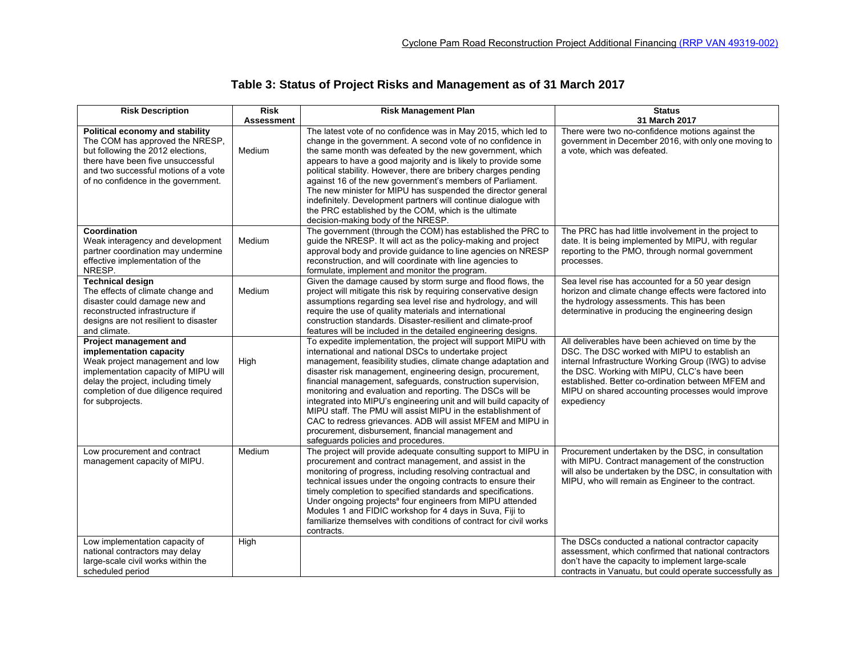# **Table 3: Status of Project Risks and Management as of 31 March 2017**

| <b>Risk Description</b>                                                                                                                                                                                                         | <b>Risk</b>       | <b>Risk Management Plan</b>                                                                                                                                                                                                                                                                                                                                                                                                                                                                                                                                                                                                                                                           | <b>Status</b>                                                                                                                                                                                                                                                                                                                        |  |  |  |
|---------------------------------------------------------------------------------------------------------------------------------------------------------------------------------------------------------------------------------|-------------------|---------------------------------------------------------------------------------------------------------------------------------------------------------------------------------------------------------------------------------------------------------------------------------------------------------------------------------------------------------------------------------------------------------------------------------------------------------------------------------------------------------------------------------------------------------------------------------------------------------------------------------------------------------------------------------------|--------------------------------------------------------------------------------------------------------------------------------------------------------------------------------------------------------------------------------------------------------------------------------------------------------------------------------------|--|--|--|
|                                                                                                                                                                                                                                 | <b>Assessment</b> |                                                                                                                                                                                                                                                                                                                                                                                                                                                                                                                                                                                                                                                                                       | 31 March 2017                                                                                                                                                                                                                                                                                                                        |  |  |  |
| Political economy and stability<br>The COM has approved the NRESP,<br>but following the 2012 elections,<br>there have been five unsuccessful<br>and two successful motions of a vote<br>of no confidence in the government.     | Medium            | The latest vote of no confidence was in May 2015, which led to<br>change in the government. A second vote of no confidence in<br>the same month was defeated by the new government, which<br>appears to have a good majority and is likely to provide some<br>political stability. However, there are bribery charges pending<br>against 16 of the new government's members of Parliament.<br>The new minister for MIPU has suspended the director general<br>indefinitely. Development partners will continue dialogue with<br>the PRC established by the COM, which is the ultimate<br>decision-making body of the NRESP.                                                           | There were two no-confidence motions against the<br>government in December 2016, with only one moving to<br>a vote, which was defeated.                                                                                                                                                                                              |  |  |  |
| Coordination<br>Weak interagency and development<br>partner coordination may undermine<br>effective implementation of the<br>NRESP.                                                                                             | Medium            | The government (through the COM) has established the PRC to<br>quide the NRESP. It will act as the policy-making and project<br>approval body and provide guidance to line agencies on NRESP<br>reconstruction, and will coordinate with line agencies to<br>formulate, implement and monitor the program.                                                                                                                                                                                                                                                                                                                                                                            | The PRC has had little involvement in the project to<br>date. It is being implemented by MIPU, with regular<br>reporting to the PMO, through normal government<br>processes.                                                                                                                                                         |  |  |  |
| <b>Technical design</b><br>The effects of climate change and<br>disaster could damage new and<br>reconstructed infrastructure if<br>designs are not resilient to disaster<br>and climate.                                       | Medium            | Given the damage caused by storm surge and flood flows, the<br>project will mitigate this risk by requiring conservative design<br>assumptions regarding sea level rise and hydrology, and will<br>require the use of quality materials and international<br>construction standards. Disaster-resilient and climate-proof<br>features will be included in the detailed engineering designs.                                                                                                                                                                                                                                                                                           | Sea level rise has accounted for a 50 year design<br>horizon and climate change effects were factored into<br>the hydrology assessments. This has been<br>determinative in producing the engineering design                                                                                                                          |  |  |  |
| Project management and<br>implementation capacity<br>Weak project management and low<br>implementation capacity of MIPU will<br>delay the project, including timely<br>completion of due diligence required<br>for subprojects. | High              | To expedite implementation, the project will support MIPU with<br>international and national DSCs to undertake project<br>management, feasibility studies, climate change adaptation and<br>disaster risk management, engineering design, procurement,<br>financial management, safeguards, construction supervision,<br>monitoring and evaluation and reporting. The DSCs will be<br>integrated into MIPU's engineering unit and will build capacity of<br>MIPU staff. The PMU will assist MIPU in the establishment of<br>CAC to redress grievances. ADB will assist MFEM and MIPU in<br>procurement, disbursement, financial management and<br>safeguards policies and procedures. | All deliverables have been achieved on time by the<br>DSC. The DSC worked with MIPU to establish an<br>internal Infrastructure Working Group (IWG) to advise<br>the DSC. Working with MIPU, CLC's have been<br>established. Better co-ordination between MFEM and<br>MIPU on shared accounting processes would improve<br>expediency |  |  |  |
| Low procurement and contract<br>management capacity of MIPU.                                                                                                                                                                    | Medium            | The project will provide adequate consulting support to MIPU in<br>procurement and contract management, and assist in the<br>monitoring of progress, including resolving contractual and<br>technical issues under the ongoing contracts to ensure their<br>timely completion to specified standards and specifications.<br>Under ongoing projects <sup>a</sup> four engineers from MIPU attended<br>Modules 1 and FIDIC workshop for 4 days in Suva, Fiji to<br>familiarize themselves with conditions of contract for civil works<br>contracts.                                                                                                                                     | Procurement undertaken by the DSC, in consultation<br>with MIPU. Contract management of the construction<br>will also be undertaken by the DSC, in consultation with<br>MIPU, who will remain as Engineer to the contract.                                                                                                           |  |  |  |
| Low implementation capacity of<br>national contractors may delay<br>large-scale civil works within the<br>scheduled period                                                                                                      | High              |                                                                                                                                                                                                                                                                                                                                                                                                                                                                                                                                                                                                                                                                                       | The DSCs conducted a national contractor capacity<br>assessment, which confirmed that national contractors<br>don't have the capacity to implement large-scale<br>contracts in Vanuatu, but could operate successfully as                                                                                                            |  |  |  |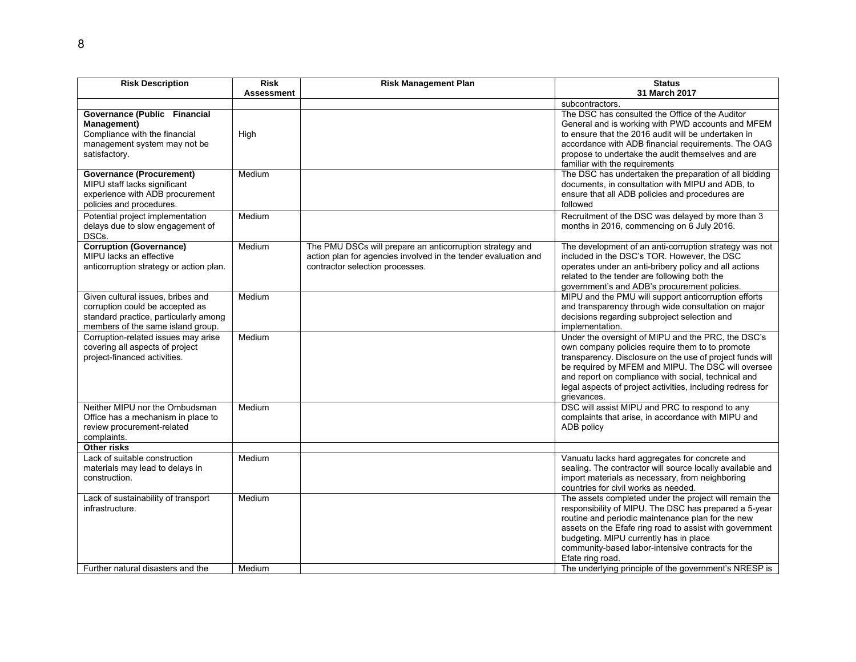| <b>Risk Description</b>                                                                                                                            | <b>Risk</b><br><b>Assessment</b> | <b>Risk Management Plan</b>                                                                                                                                   | <b>Status</b><br>31 March 2017                                                                                                                                                                                                                                                                                                                               |
|----------------------------------------------------------------------------------------------------------------------------------------------------|----------------------------------|---------------------------------------------------------------------------------------------------------------------------------------------------------------|--------------------------------------------------------------------------------------------------------------------------------------------------------------------------------------------------------------------------------------------------------------------------------------------------------------------------------------------------------------|
|                                                                                                                                                    |                                  |                                                                                                                                                               | subcontractors.                                                                                                                                                                                                                                                                                                                                              |
| Governance (Public Financial<br>Management)<br>Compliance with the financial<br>management system may not be<br>satisfactory.                      | High                             |                                                                                                                                                               | The DSC has consulted the Office of the Auditor<br>General and is working with PWD accounts and MFEM<br>to ensure that the 2016 audit will be undertaken in<br>accordance with ADB financial requirements. The OAG<br>propose to undertake the audit themselves and are<br>familiar with the requirements                                                    |
| <b>Governance (Procurement)</b><br>MIPU staff lacks significant<br>experience with ADB procurement<br>policies and procedures.                     | Medium                           |                                                                                                                                                               | The DSC has undertaken the preparation of all bidding<br>documents, in consultation with MIPU and ADB, to<br>ensure that all ADB policies and procedures are<br>followed                                                                                                                                                                                     |
| Potential project implementation<br>delays due to slow engagement of<br>DSCs.                                                                      | Medium                           |                                                                                                                                                               | Recruitment of the DSC was delayed by more than 3<br>months in 2016, commencing on 6 July 2016.                                                                                                                                                                                                                                                              |
| <b>Corruption (Governance)</b><br>MIPU lacks an effective<br>anticorruption strategy or action plan.                                               | Medium                           | The PMU DSCs will prepare an anticorruption strategy and<br>action plan for agencies involved in the tender evaluation and<br>contractor selection processes. | The development of an anti-corruption strategy was not<br>included in the DSC's TOR. However, the DSC<br>operates under an anti-bribery policy and all actions<br>related to the tender are following both the<br>government's and ADB's procurement policies.                                                                                               |
| Given cultural issues, bribes and<br>corruption could be accepted as<br>standard practice, particularly among<br>members of the same island group. | Medium                           |                                                                                                                                                               | MIPU and the PMU will support anticorruption efforts<br>and transparency through wide consultation on major<br>decisions regarding subproject selection and<br>implementation.                                                                                                                                                                               |
| Corruption-related issues may arise<br>covering all aspects of project<br>project-financed activities.                                             | Medium                           |                                                                                                                                                               | Under the oversight of MIPU and the PRC, the DSC's<br>own company policies require them to to promote<br>transparency. Disclosure on the use of project funds will<br>be required by MFEM and MIPU. The DSC will oversee<br>and report on compliance with social, technical and<br>legal aspects of project activities, including redress for<br>grievances. |
| Neither MIPU nor the Ombudsman<br>Office has a mechanism in place to<br>review procurement-related<br>complaints.                                  | Medium                           |                                                                                                                                                               | DSC will assist MIPU and PRC to respond to any<br>complaints that arise, in accordance with MIPU and<br>ADB policy                                                                                                                                                                                                                                           |
| Other risks                                                                                                                                        |                                  |                                                                                                                                                               |                                                                                                                                                                                                                                                                                                                                                              |
| Lack of suitable construction<br>materials may lead to delays in<br>construction.                                                                  | Medium                           |                                                                                                                                                               | Vanuatu lacks hard aggregates for concrete and<br>sealing. The contractor will source locally available and<br>import materials as necessary, from neighboring<br>countries for civil works as needed.                                                                                                                                                       |
| Lack of sustainability of transport<br>infrastructure.                                                                                             | Medium                           |                                                                                                                                                               | The assets completed under the project will remain the<br>responsibility of MIPU. The DSC has prepared a 5-year<br>routine and periodic maintenance plan for the new<br>assets on the Efafe ring road to assist with government<br>budgeting. MIPU currently has in place<br>community-based labor-intensive contracts for the<br>Efate ring road.           |
| Further natural disasters and the                                                                                                                  | Medium                           |                                                                                                                                                               | The underlying principle of the government's NRESP is                                                                                                                                                                                                                                                                                                        |